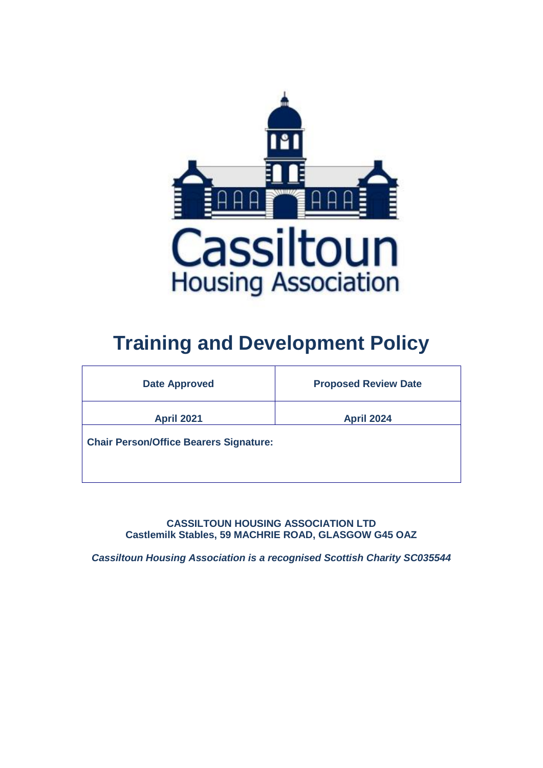

# **Training and Development Policy**

| <b>Date Approved</b>                          | <b>Proposed Review Date</b> |  |  |  |
|-----------------------------------------------|-----------------------------|--|--|--|
| <b>April 2021</b>                             | <b>April 2024</b>           |  |  |  |
| <b>Chair Person/Office Bearers Signature:</b> |                             |  |  |  |
|                                               |                             |  |  |  |

**CASSILTOUN HOUSING ASSOCIATION LTD Castlemilk Stables, 59 MACHRIE ROAD, GLASGOW G45 OAZ**

*Cassiltoun Housing Association is a recognised Scottish Charity SC035544*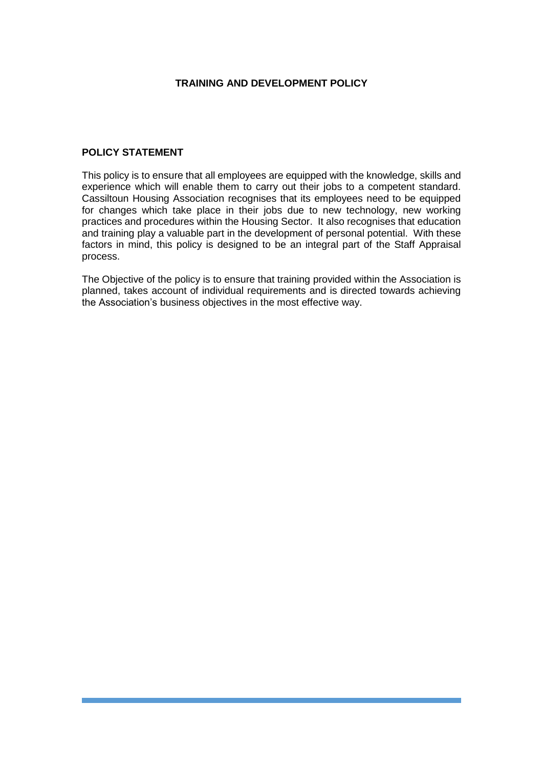#### **TRAINING AND DEVELOPMENT POLICY**

#### **POLICY STATEMENT**

This policy is to ensure that all employees are equipped with the knowledge, skills and experience which will enable them to carry out their jobs to a competent standard. Cassiltoun Housing Association recognises that its employees need to be equipped for changes which take place in their jobs due to new technology, new working practices and procedures within the Housing Sector. It also recognises that education and training play a valuable part in the development of personal potential. With these factors in mind, this policy is designed to be an integral part of the Staff Appraisal process.

The Objective of the policy is to ensure that training provided within the Association is planned, takes account of individual requirements and is directed towards achieving the Association's business objectives in the most effective way.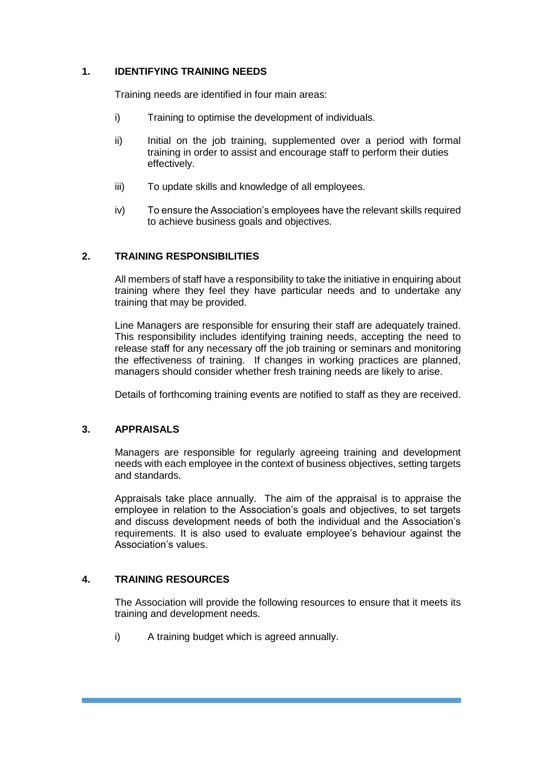#### **1. IDENTIFYING TRAINING NEEDS**

Training needs are identified in four main areas:

- i) Training to optimise the development of individuals.
- ii) Initial on the job training, supplemented over a period with formal training in order to assist and encourage staff to perform their duties effectively.
- iii) To update skills and knowledge of all employees.
- iv) To ensure the Association's employees have the relevant skills required to achieve business goals and objectives.

#### **2. TRAINING RESPONSIBILITIES**

All members of staff have a responsibility to take the initiative in enquiring about training where they feel they have particular needs and to undertake any training that may be provided.

Line Managers are responsible for ensuring their staff are adequately trained. This responsibility includes identifying training needs, accepting the need to release staff for any necessary off the job training or seminars and monitoring the effectiveness of training. If changes in working practices are planned, managers should consider whether fresh training needs are likely to arise.

Details of forthcoming training events are notified to staff as they are received.

#### **3. APPRAISALS**

Managers are responsible for regularly agreeing training and development needs with each employee in the context of business objectives, setting targets and standards.

Appraisals take place annually. The aim of the appraisal is to appraise the employee in relation to the Association's goals and objectives, to set targets and discuss development needs of both the individual and the Association's requirements. It is also used to evaluate employee's behaviour against the Association's values.

#### **4. TRAINING RESOURCES**

The Association will provide the following resources to ensure that it meets its training and development needs.

i) A training budget which is agreed annually.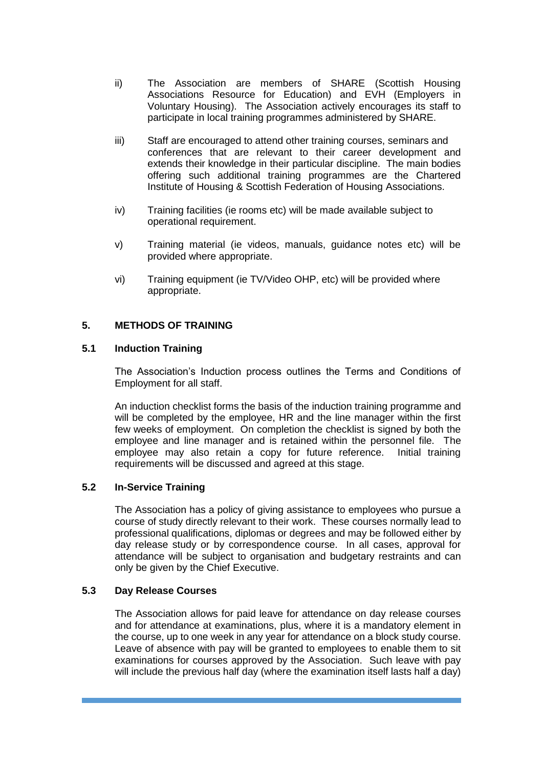- ii) The Association are members of SHARE (Scottish Housing Associations Resource for Education) and EVH (Employers in Voluntary Housing). The Association actively encourages its staff to participate in local training programmes administered by SHARE.
- iii) Staff are encouraged to attend other training courses, seminars and conferences that are relevant to their career development and extends their knowledge in their particular discipline. The main bodies offering such additional training programmes are the Chartered Institute of Housing & Scottish Federation of Housing Associations.
- iv) Training facilities (ie rooms etc) will be made available subject to operational requirement.
- v) Training material (ie videos, manuals, guidance notes etc) will be provided where appropriate.
- vi) Training equipment (ie TV/Video OHP, etc) will be provided where appropriate.

#### **5. METHODS OF TRAINING**

#### **5.1 Induction Training**

The Association's Induction process outlines the Terms and Conditions of Employment for all staff.

An induction checklist forms the basis of the induction training programme and will be completed by the employee, HR and the line manager within the first few weeks of employment. On completion the checklist is signed by both the employee and line manager and is retained within the personnel file. The employee may also retain a copy for future reference. Initial training requirements will be discussed and agreed at this stage.

#### **5.2 In-Service Training**

The Association has a policy of giving assistance to employees who pursue a course of study directly relevant to their work. These courses normally lead to professional qualifications, diplomas or degrees and may be followed either by day release study or by correspondence course. In all cases, approval for attendance will be subject to organisation and budgetary restraints and can only be given by the Chief Executive.

#### **5.3 Day Release Courses**

The Association allows for paid leave for attendance on day release courses and for attendance at examinations, plus, where it is a mandatory element in the course, up to one week in any year for attendance on a block study course. Leave of absence with pay will be granted to employees to enable them to sit examinations for courses approved by the Association. Such leave with pay will include the previous half day (where the examination itself lasts half a day)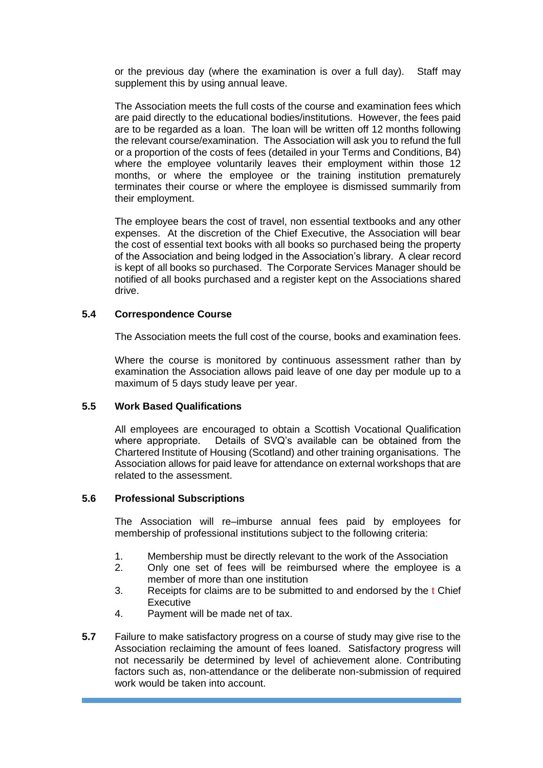or the previous day (where the examination is over a full day). Staff may supplement this by using annual leave.

The Association meets the full costs of the course and examination fees which are paid directly to the educational bodies/institutions. However, the fees paid are to be regarded as a loan. The loan will be written off 12 months following the relevant course/examination. The Association will ask you to refund the full or a proportion of the costs of fees (detailed in your Terms and Conditions, B4) where the employee voluntarily leaves their employment within those 12 months, or where the employee or the training institution prematurely terminates their course or where the employee is dismissed summarily from their employment.

The employee bears the cost of travel, non essential textbooks and any other expenses. At the discretion of the Chief Executive, the Association will bear the cost of essential text books with all books so purchased being the property of the Association and being lodged in the Association's library. A clear record is kept of all books so purchased. The Corporate Services Manager should be notified of all books purchased and a register kept on the Associations shared drive.

#### **5.4 Correspondence Course**

The Association meets the full cost of the course, books and examination fees.

Where the course is monitored by continuous assessment rather than by examination the Association allows paid leave of one day per module up to a maximum of 5 days study leave per year.

#### **5.5 Work Based Qualifications**

All employees are encouraged to obtain a Scottish Vocational Qualification where appropriate. Details of SVQ's available can be obtained from the Chartered Institute of Housing (Scotland) and other training organisations. The Association allows for paid leave for attendance on external workshops that are related to the assessment.

#### **5.6 Professional Subscriptions**

The Association will re–imburse annual fees paid by employees for membership of professional institutions subject to the following criteria:

- 1. Membership must be directly relevant to the work of the Association
- 2. Only one set of fees will be reimbursed where the employee is a member of more than one institution
- 3. Receipts for claims are to be submitted to and endorsed by the t Chief **Executive**
- 4. Payment will be made net of tax.
- **5.7** Failure to make satisfactory progress on a course of study may give rise to the Association reclaiming the amount of fees loaned. Satisfactory progress will not necessarily be determined by level of achievement alone. Contributing factors such as, non-attendance or the deliberate non-submission of required work would be taken into account.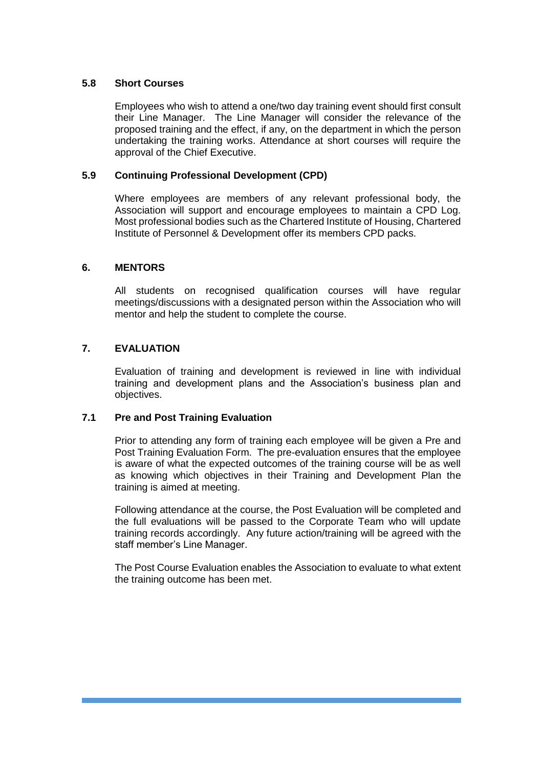#### **5.8 Short Courses**

Employees who wish to attend a one/two day training event should first consult their Line Manager. The Line Manager will consider the relevance of the proposed training and the effect, if any, on the department in which the person undertaking the training works. Attendance at short courses will require the approval of the Chief Executive.

#### **5.9 Continuing Professional Development (CPD)**

Where employees are members of any relevant professional body, the Association will support and encourage employees to maintain a CPD Log. Most professional bodies such as the Chartered Institute of Housing, Chartered Institute of Personnel & Development offer its members CPD packs.

## **6. MENTORS**

All students on recognised qualification courses will have regular meetings/discussions with a designated person within the Association who will mentor and help the student to complete the course.

## **7. EVALUATION**

Evaluation of training and development is reviewed in line with individual training and development plans and the Association's business plan and objectives.

#### **7.1 Pre and Post Training Evaluation**

Prior to attending any form of training each employee will be given a Pre and Post Training Evaluation Form. The pre-evaluation ensures that the employee is aware of what the expected outcomes of the training course will be as well as knowing which objectives in their Training and Development Plan the training is aimed at meeting.

Following attendance at the course, the Post Evaluation will be completed and the full evaluations will be passed to the Corporate Team who will update training records accordingly. Any future action/training will be agreed with the staff member's Line Manager.

The Post Course Evaluation enables the Association to evaluate to what extent the training outcome has been met.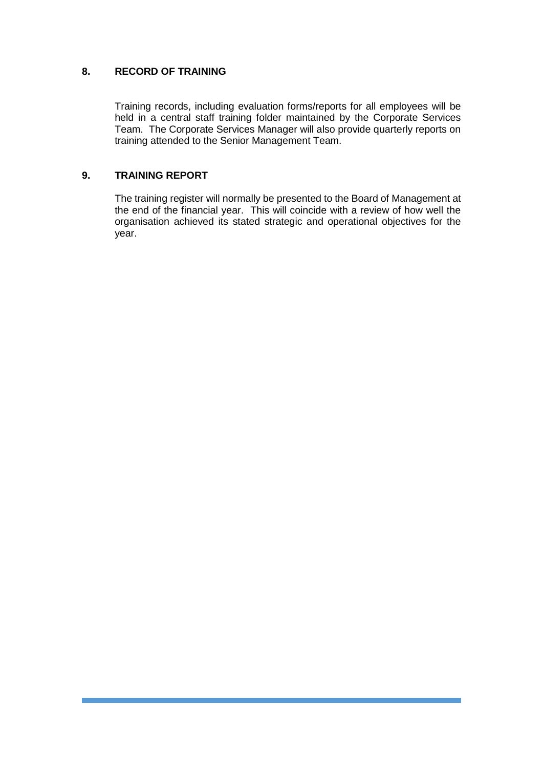#### **8. RECORD OF TRAINING**

Training records, including evaluation forms/reports for all employees will be held in a central staff training folder maintained by the Corporate Services Team. The Corporate Services Manager will also provide quarterly reports on training attended to the Senior Management Team.

#### **9. TRAINING REPORT**

The training register will normally be presented to the Board of Management at the end of the financial year. This will coincide with a review of how well the organisation achieved its stated strategic and operational objectives for the year.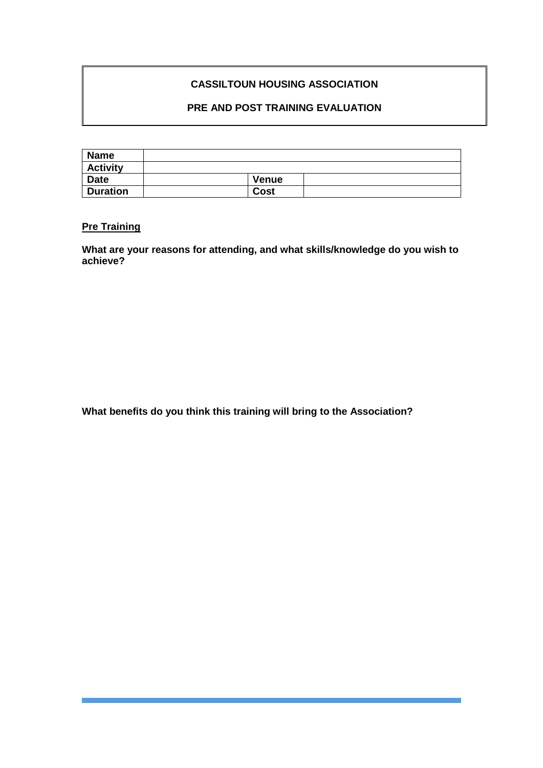# **CASSILTOUN HOUSING ASSOCIATION**

# **PRE AND POST TRAINING EVALUATION**

| <b>Name</b>     |       |  |
|-----------------|-------|--|
| <b>Activity</b> |       |  |
| <b>Date</b>     | Venue |  |
| <b>Duration</b> | Cost  |  |

# **Pre Training**

**What are your reasons for attending, and what skills/knowledge do you wish to achieve?**

**What benefits do you think this training will bring to the Association?**